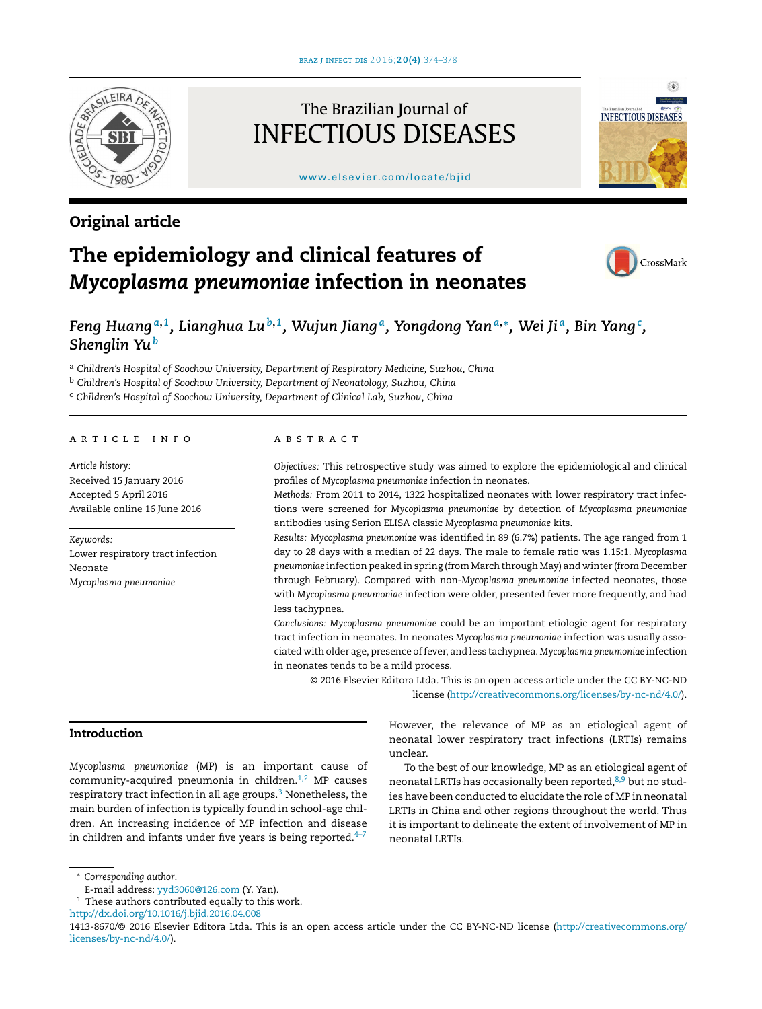

# Original article

# The Brazilian Journal of INFECTIOUS DISEASES

[www.elsevier.com/locate/bjid](http://www.elsevier.com/locate/bjid)



# The epidemiology and clinical features of *Mycoplasma pneumoniae* infection in neonates



# Feng Huang $^{\mathfrak{a}, 1}$ , Lianghua Lu $^{\mathfrak{b}, 1}$ , Wujun Jiang $^{\mathfrak{a}}$ , Yongdong Yan $^{\mathfrak{a}, *}$ , Wei Ji $^{\mathfrak{a}}$ , Bin Yang $^{\mathfrak{c}}$ , *Shenglin Yu<sup>b</sup>*

<sup>a</sup> *Children's Hospital of Soochow University, Department of Respiratory Medicine, Suzhou, China*

<sup>b</sup> *Children's Hospital of Soochow University, Department of Neonatology, Suzhou, China*

<sup>c</sup> *Children's Hospital of Soochow University, Department of Clinical Lab, Suzhou, China*

#### ARTICLE INFO

*Article history:* Received 15 January 2016 Accepted 5 April 2016 Available online 16 June 2016

*Keywords:* Lower respiratory tract infection Neonate *Mycoplasma pneumoniae*

## a b s t r a c t

*Objectives:* This retrospective study was aimed to explore the epidemiological and clinical profiles of *Mycoplasma pneumoniae* infection in neonates.

*Methods:* From 2011 to 2014, 1322 hospitalized neonates with lower respiratory tract infections were screened for *Mycoplasma pneumoniae* by detection of *Mycoplasma pneumoniae* antibodies using Serion ELISA classic *Mycoplasma pneumoniae* kits.

*Results: Mycoplasma pneumoniae* was identified in 89 (6.7%) patients. The age ranged from 1 day to 28 days with a median of 22 days. The male to female ratio was 1.15:1. *Mycoplasma pneumoniae* infection peaked in spring (from March through May) and winter (from December through February). Compared with non-*Mycoplasma pneumoniae* infected neonates, those with *Mycoplasma pneumoniae* infection were older, presented fever more frequently, and had less tachypnea.

*Conclusions: Mycoplasma pneumoniae* could be an important etiologic agent for respiratory tract infection in neonates. In neonates *Mycoplasma pneumoniae* infection was usually associated with older age, presence offever, and less tachypnea. *Mycoplasma pneumoniae* infection in neonates tends to be a mild process.

© 2016 Elsevier Editora Ltda. This is an open access article under the CC BY-NC-ND license [\(http://creativecommons.org/licenses/by-nc-nd/4.0/](http://creativecommons.org/licenses/by-nc-nd/4.0/)).

# Introduction

*Mycoplasma pneumoniae* (MP) is an important cause of community-acquired pneumonia in children. $1,2$  MP causes respiratory tract infection in all age groups. $3$  Nonetheless, the main burden of infection is typically found in school-age children. An increasing incidence of MP infection and disease in children and infants under five years is being reported. $4-7$ 

However, the relevance of MP as an etiological agent of neonatal lower respiratory tract infections (LRTIs) remains unclear.

To the best of our knowledge, MP as an etiological agent of neonatal LRTIs has occasionally been reported, $8,9$  but no studies have been conducted to elucidate the role of MP in neonatal LRTIs in China and other regions throughout the world. Thus it is important to delineate the extent of involvement of MP in neonatal LRTIs.

<sup>∗</sup> *Corresponding author*.

E-mail address: [yyd3060@126.com](mailto:yyd3060@126.com) (Y. Yan).

 $^{\rm 1}$  These authors contributed equally to this work.

[http://dx.doi.org/10.1016/j.bjid.2016.04.008](dx.doi.org/10.1016/j.bjid.2016.04.008)

<sup>1413-8670/©</sup> 2016 Elsevier Editora Ltda. This is an open access article under the CC BY-NC-ND license ([http://creativecommons.org/](http://creativecommons.org/licenses/by-nc-nd/4.0/) [licenses/by-nc-nd/4.0/\)](http://creativecommons.org/licenses/by-nc-nd/4.0/).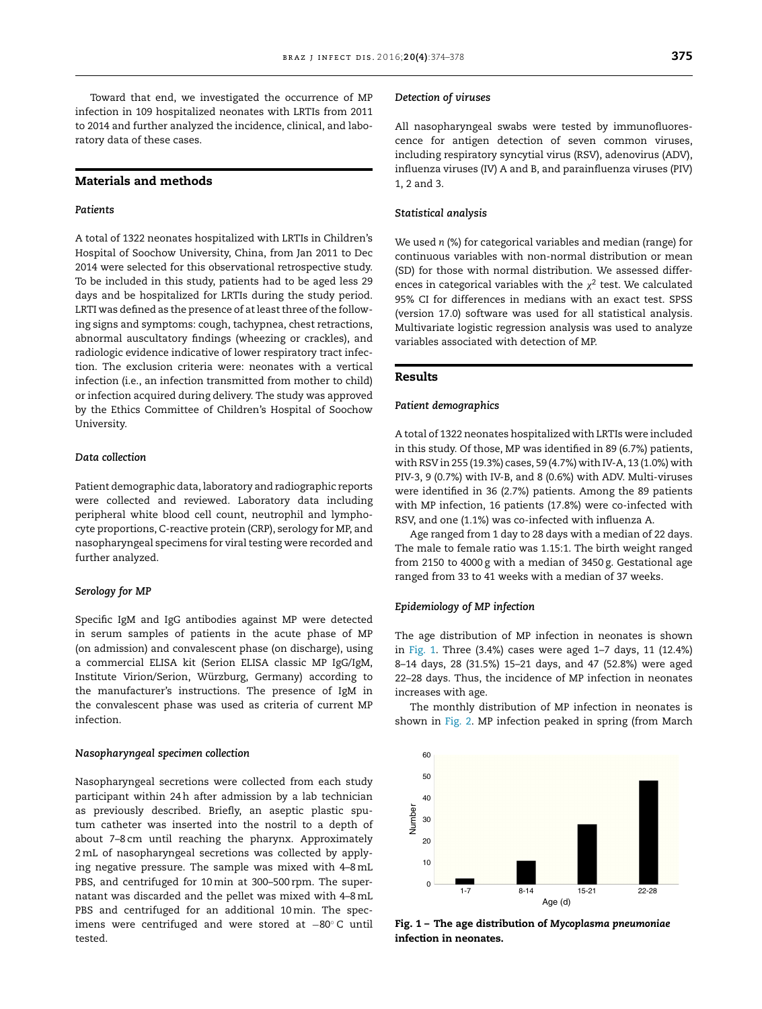Toward that end, we investigated the occurrence of MP infection in 109 hospitalized neonates with LRTIs from 2011 to 2014 and further analyzed the incidence, clinical, and laboratory data of these cases.

# Materials and methods

## *Patients*

A total of 1322 neonates hospitalized with LRTIs in Children's Hospital of Soochow University, China, from Jan 2011 to Dec 2014 were selected for this observational retrospective study. To be included in this study, patients had to be aged less 29 days and be hospitalized for LRTIs during the study period. LRTI was defined as the presence of at least three of the following signs and symptoms: cough, tachypnea, chest retractions, abnormal auscultatory findings (wheezing or crackles), and radiologic evidence indicative of lower respiratory tract infection. The exclusion criteria were: neonates with a vertical infection (i.e., an infection transmitted from mother to child) or infection acquired during delivery. The study was approved by the Ethics Committee of Children's Hospital of Soochow University.

## *Data collection*

Patient demographic data, laboratory and radiographic reports were collected and reviewed. Laboratory data including peripheral white blood cell count, neutrophil and lymphocyte proportions, C-reactive protein (CRP), serology for MP, and nasopharyngeal specimens for viral testing were recorded and further analyzed.

#### *Serology for MP*

Specific IgM and IgG antibodies against MP were detected in serum samples of patients in the acute phase of MP (on admission) and convalescent phase (on discharge), using a commercial ELISA kit (Serion ELISA classic MP IgG/IgM, Institute Virion/Serion, Würzburg, Germany) according to the manufacturer's instructions. The presence of IgM in the convalescent phase was used as criteria of current MP infection.

#### *Nasopharyngeal specimen collection*

Nasopharyngeal secretions were collected from each study participant within 24h after admission by a lab technician as previously described. Briefly, an aseptic plastic sputum catheter was inserted into the nostril to a depth of about 7–8 cm until reaching the pharynx. Approximately 2mL of nasopharyngeal secretions was collected by applying negative pressure. The sample was mixed with 4–8mL PBS, and centrifuged for 10min at 300–500 rpm. The supernatant was discarded and the pellet was mixed with 4–8mL PBS and centrifuged for an additional 10min. The specimens were centrifuged and were stored at −80◦ C until tested.

#### *Detection of viruses*

All nasopharyngeal swabs were tested by immunofluorescence for antigen detection of seven common viruses, including respiratory syncytial virus (RSV), adenovirus (ADV), influenza viruses (IV) A and B, and parainfluenza viruses (PIV) 1, 2 and 3.

#### *Statistical analysis*

We used *n* (%) for categorical variables and median (range) for continuous variables with non-normal distribution or mean (SD) for those with normal distribution. We assessed differences in categorical variables with the  $\chi^2$  test. We calculated 95% CI for differences in medians with an exact test. SPSS (version 17.0) software was used for all statistical analysis. Multivariate logistic regression analysis was used to analyze variables associated with detection of MP.

# Results

#### *Patient demographics*

A total of 1322 neonates hospitalized with LRTIs were included in this study. Of those, MP was identified in 89 (6.7%) patients, with RSV in 255 (19.3%) cases, 59 (4.7%) with IV-A, 13 (1.0%) with PIV-3, 9 (0.7%) with IV-B, and 8 (0.6%) with ADV. Multi-viruses were identified in 36 (2.7%) patients. Among the 89 patients with MP infection, 16 patients (17.8%) were co-infected with RSV, and one (1.1%) was co-infected with influenza A.

Age ranged from 1 day to 28 days with a median of 22 days. The male to female ratio was 1.15:1. The birth weight ranged from 2150 to 4000 g with a median of 3450 g. Gestational age ranged from 33 to 41 weeks with a median of 37 weeks.

#### *Epidemiology of MP infection*

The age distribution of MP infection in neonates is shown in Fig. 1. Three (3.4%) cases were aged 1–7 days, 11 (12.4%) 8–14 days, 28 (31.5%) 15–21 days, and 47 (52.8%) were aged 22–28 days. Thus, the incidence of MP infection in neonates increases with age.

The monthly distribution of MP infection in neonates is shown in [Fig.](#page-2-0) 2. MP infection peaked in spring (from March



Fig. 1 – The age distribution of *Mycoplasma pneumoniae* infection in neonates.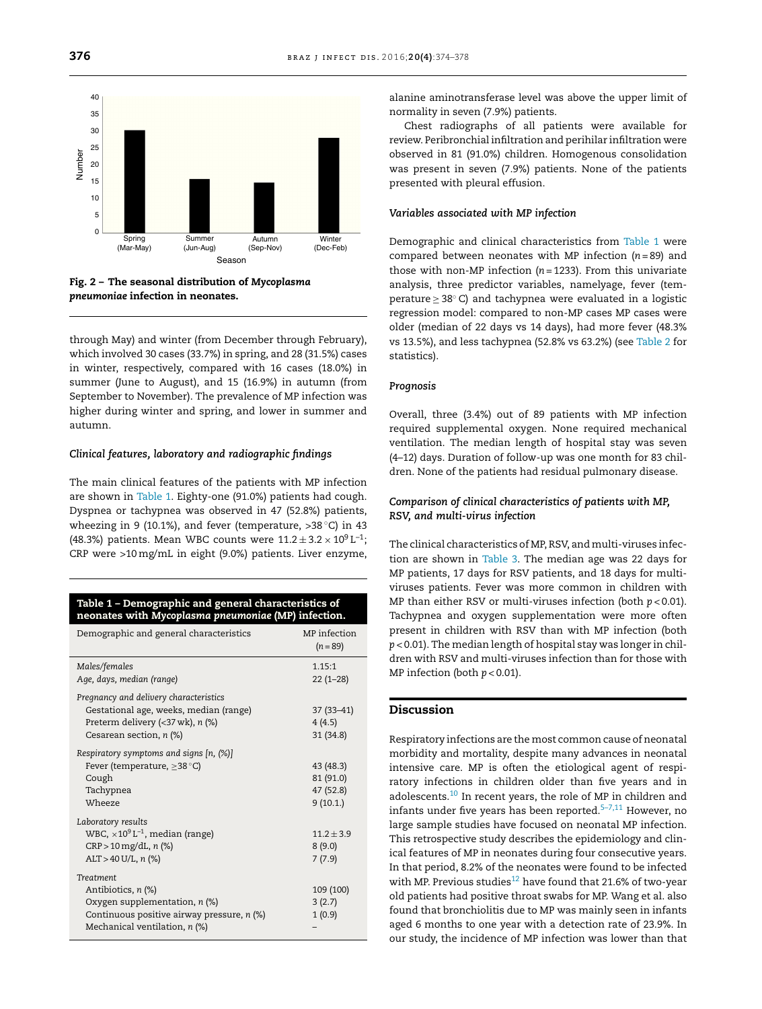<span id="page-2-0"></span>

Fig. 2 – The seasonal distribution of *Mycoplasma pneumoniae* infection in neonates.

through May) and winter (from December through February), which involved 30 cases (33.7%) in spring, and 28 (31.5%) cases in winter, respectively, compared with 16 cases (18.0%) in summer (June to August), and 15 (16.9%) in autumn (from September to November). The prevalence of MP infection was higher during winter and spring, and lower in summer and autumn.

#### *Clinical features, laboratory and radiographic findings*

The main clinical features of the patients with MP infection are shown in Table 1. Eighty-one (91.0%) patients had cough. Dyspnea or tachypnea was observed in 47 (52.8%) patients, wheezing in 9 (10.1%), and fever (temperature, >38 °C) in 43 (48.3%) patients. Mean WBC counts were  $11.2\pm3.2\times10^{9}\,\rm L^{-1};$ CRP were >10mg/mL in eight (9.0%) patients. Liver enzyme,

#### Table 1 – Demographic and general characteristics of neonates with *Mycoplasma pneumoniae* (MP) infection.

| Demographic and general characteristics                                                                                                                                                         | MP infection<br>$(n = 89)$                      |
|-------------------------------------------------------------------------------------------------------------------------------------------------------------------------------------------------|-------------------------------------------------|
| Males/females<br>Age, days, median (range)                                                                                                                                                      | 1.15:1<br>$22(1-28)$                            |
| Pregnancy and delivery characteristics<br>Gestational age, weeks, median (range)<br>Preterm delivery $\left\langle \langle 37 \text{ wk} \rangle, n \right\rangle$<br>Cesarean section, $n$ (%) | 37 (33-41)<br>4(4.5)<br>31(34.8)                |
| Respiratory symptoms and signs [n, (%)]<br>Fever (temperature, $\geq$ 38 °C)<br>Cough<br>Tachypnea<br>Wheeze                                                                                    | 43 (48.3)<br>81 (91.0)<br>47 (52.8)<br>9(10.1.) |
| Laboratory results<br>WBC, $\times 10^9$ L <sup>-1</sup> , median (range)<br>$CRP > 10$ mg/dL, n $(\%)$<br>$ALT > 40 U/L$ , n $(\%)$                                                            | $11.2 + 3.9$<br>8(9.0)<br>7(7.9)                |
| <b>Treatment</b><br>Antibiotics, n (%)<br>Oxygen supplementation, $n$ (%)<br>Continuous positive airway pressure, n (%)<br>Mechanical ventilation, $n$ (%)                                      | 109 (100)<br>3(2.7)<br>1(0.9)                   |

alanine aminotransferase level was above the upper limit of normality in seven (7.9%) patients.

Chest radiographs of all patients were available for review. Peribronchial infiltration and perihilar infiltration were observed in 81 (91.0%) children. Homogenous consolidation was present in seven (7.9%) patients. None of the patients presented with pleural effusion.

### *Variables associated with MP infection*

Demographic and clinical characteristics from Table 1 were compared between neonates with MP infection (*n* = 89) and those with non-MP infection (*n* = 1233). From this univariate analysis, three predictor variables, namelyage, fever (temperature ≥ 38◦ C) and tachypnea were evaluated in a logistic regression model: compared to non-MP cases MP cases were older (median of 22 days vs 14 days), had more fever (48.3% vs 13.5%), and less tachypnea (52.8% vs 63.2%) (see [Table](#page-3-0) 2 for statistics).

#### *Prognosis*

Overall, three (3.4%) out of 89 patients with MP infection required supplemental oxygen. None required mechanical ventilation. The median length of hospital stay was seven (4–12) days. Duration of follow-up was one month for 83 children. None of the patients had residual pulmonary disease.

# *Comparison of clinical characteristics of patients with MP, RSV, and multi-virus infection*

The clinical characteristics of MP, RSV, and multi-viruses infection are shown in [Table](#page-3-0) 3. The median age was 22 days for MP patients, 17 days for RSV patients, and 18 days for multiviruses patients. Fever was more common in children with MP than either RSV or multi-viruses infection (both *p* < 0.01). Tachypnea and oxygen supplementation were more often present in children with RSV than with MP infection (both *p* < 0.01). The median length of hospital stay was longer in children with RSV and multi-viruses infection than for those with MP infection (both *p* < 0.01).

# Discussion

Respiratory infections are the most common cause of neonatal morbidity and mortality, despite many advances in neonatal intensive care. MP is often the etiological agent of respiratory infections in children older than five years and in adolescents.[10](#page-4-0) In recent years, the role of MP in children and infants under five years has been reported. $5-7,11$  However, no large sample studies have focused on neonatal MP infection. This retrospective study describes the epidemiology and clinical features of MP in neonates during four consecutive years. In that period, 8.2% of the neonates were found to be infected with MP. Previous studies<sup>[12](#page-4-0)</sup> have found that 21.6% of two-year old patients had positive throat swabs for MP. Wang et al. also found that bronchiolitis due to MP was mainly seen in infants aged 6 months to one year with a detection rate of 23.9%. In our study, the incidence of MP infection was lower than that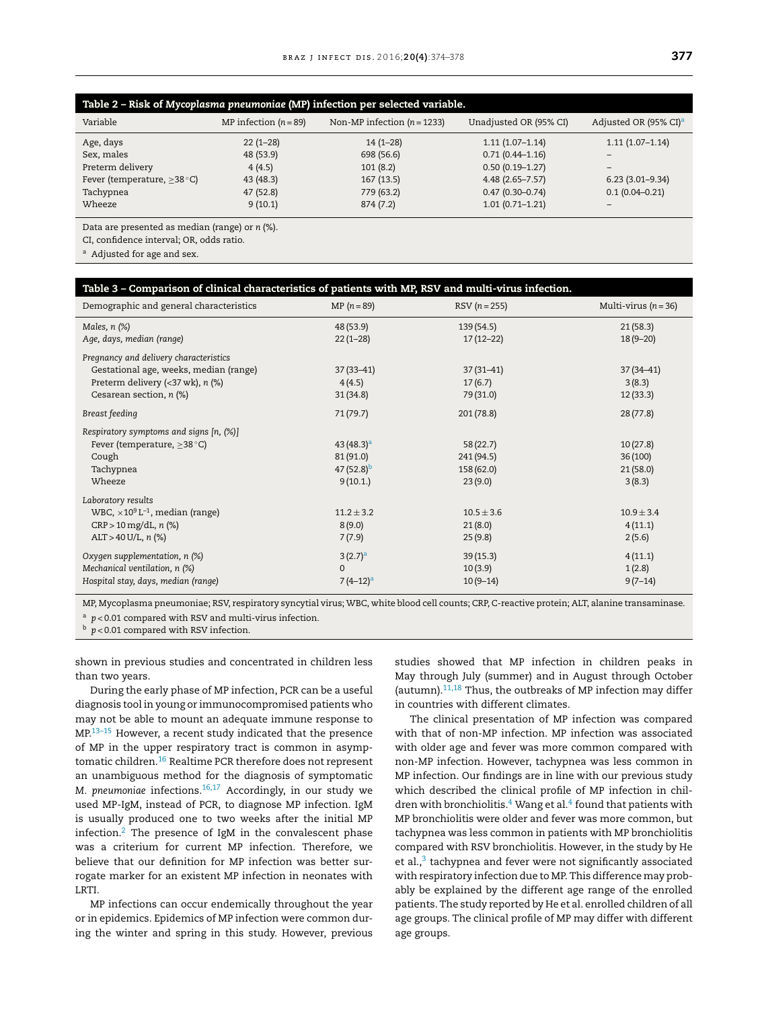<span id="page-3-0"></span>

| Table 2 - Risk of Mycoplasma pneumoniae (MP) infection per selected variable. |                         |                               |                        |                                   |  |  |
|-------------------------------------------------------------------------------|-------------------------|-------------------------------|------------------------|-----------------------------------|--|--|
| Variable                                                                      | MP infection $(n = 89)$ | Non-MP infection $(n = 1233)$ | Unadjusted OR (95% CI) | Adjusted OR (95% CI) <sup>a</sup> |  |  |
| Age, days                                                                     | $22(1-28)$              | $14(1-28)$                    | $1.11(1.07-1.14)$      | $1.11(1.07-1.14)$                 |  |  |
| Sex, males                                                                    | 48 (53.9)               | 698 (56.6)                    | $0.71(0.44 - 1.16)$    |                                   |  |  |
| Preterm delivery                                                              | 4(4.5)                  | 101(8.2)                      | $0.50(0.19 - 1.27)$    | -                                 |  |  |
| Fever (temperature, $\geq$ 38 °C)                                             | 43 (48.3)               | 167(13.5)                     | $4.48(2.65 - 7.57)$    | $6.23(3.01-9.34)$                 |  |  |
| Tachypnea                                                                     | 47 (52.8)               | 779 (63.2)                    | $0.47(0.30 - 0.74)$    | $0.1(0.04 - 0.21)$                |  |  |
| Wheeze                                                                        | 9(10.1)                 | 874(7.2)                      | $1.01(0.71 - 1.21)$    |                                   |  |  |

Data are presented as median (range) or *n* (%).

CI, confidence interval; OR, odds ratio.

<sup>a</sup> Adjusted for age and sex.

| Table 3 - Comparison of clinical characteristics of patients with MP, RSV and multi-virus infection.         |                |                |                      |  |  |  |
|--------------------------------------------------------------------------------------------------------------|----------------|----------------|----------------------|--|--|--|
| Demographic and general characteristics                                                                      | $MP (n = 89)$  | $RSV(n = 255)$ | Multi-virus $(n=36)$ |  |  |  |
| Males, $n$ $(\%)$                                                                                            | 48 (53.9)      | 139(54.5)      | 21(58.3)             |  |  |  |
| Age, days, median (range)                                                                                    | $22(1-28)$     | $17(12-22)$    | $18(9 - 20)$         |  |  |  |
| Pregnancy and delivery characteristics                                                                       |                |                |                      |  |  |  |
| Gestational age, weeks, median (range)                                                                       | $37(33 - 41)$  | $37(31-41)$    | $37(34 - 41)$        |  |  |  |
| Preterm delivery $\left\langle \langle 37 \text{ wk} \rangle, n \right\rangle \left\langle \% \right\rangle$ | 4(4.5)         | 17(6.7)        | 3(8.3)               |  |  |  |
| Cesarean section, n (%)                                                                                      | 31(34.8)       | 79 (31.0)      | 12(33.3)             |  |  |  |
| Breast feeding                                                                                               | 71(79.7)       | 201(78.8)      | 28(77.8)             |  |  |  |
| Respiratory symptoms and signs $[n, (\%)]$                                                                   |                |                |                      |  |  |  |
| Fever (temperature, $\geq$ 38 °C)                                                                            | $43(48.3)^a$   | 58(22.7)       | 10(27.8)             |  |  |  |
| Cough                                                                                                        | 81(91.0)       | 241 (94.5)     | 36(100)              |  |  |  |
| Tachypnea                                                                                                    | $47(52.8)^b$   | 158 (62.0)     | 21(58.0)             |  |  |  |
| Wheeze                                                                                                       | 9(10.1)        | 23(9.0)        | 3(8.3)               |  |  |  |
| Laboratory results                                                                                           |                |                |                      |  |  |  |
| WBC, $\times 10^9$ L <sup>-1</sup> , median (range)                                                          | $11.2 \pm 3.2$ | $10.5 \pm 3.6$ | $10.9 \pm 3.4$       |  |  |  |
| $CRP > 10$ mg/dL, n $(\%)$                                                                                   | 8(9.0)         | 21(8.0)        | 4(11.1)              |  |  |  |
| $ALT > 40 U/L$ , n $(\%)$                                                                                    | 7(7.9)         | 25(9.8)        | 2(5.6)               |  |  |  |
| Oxygen supplementation, n (%)                                                                                | $3(2.7)^a$     | 39(15.3)       | 4(11.1)              |  |  |  |
| Mechanical ventilation, n (%)                                                                                | $\mathbf{0}$   | 10(3.9)        | 1(2.8)               |  |  |  |
| Hospital stay, days, median (range)                                                                          | $7(4-12)^a$    | $10(9-14)$     | $9(7-14)$            |  |  |  |

MP, Mycoplasma pneumoniae; RSV, respiratory syncytial virus; WBC, white blood cell counts; CRP, C-reactive protein; ALT, alanine transaminase. <sup>a</sup>  $p < 0.01$  compared with RSV and multi-virus infection.

<sup>b</sup> *p* < 0.01 compared with RSV infection.

shown in previous studies and concentrated in children less than two years.

During the early phase of MP infection, PCR can be a useful diagnosis tool in young or immunocompromised patients who may not be able to mount an adequate immune response to MP.[13–15](#page-4-0) However, a recent study indicated that the presence of MP in the upper respiratory tract is common in asymptomatic children.[16](#page-4-0) Realtime PCR therefore does not represent an unambiguous method for the diagnosis of symptomatic *M. pneumoniae* infections.[16,17](#page-4-0) Accordingly, in our study we used MP-IgM, instead of PCR, to diagnose MP infection. IgM is usually produced one to two weeks after the initial MP infection.<sup>[2](#page-4-0)</sup> The presence of IgM in the convalescent phase was a criterium for current MP infection. Therefore, we believe that our definition for MP infection was better surrogate marker for an existent MP infection in neonates with LRTI.

MP infections can occur endemically throughout the year or in epidemics. Epidemics of MP infection were common during the winter and spring in this study. However, previous

studies showed that MP infection in children peaks in May through July (summer) and in August through October (autumn). $11,18$  Thus, the outbreaks of MP infection may differ in countries with different climates.

The clinical presentation of MP infection was compared with that of non-MP infection. MP infection was associated with older age and fever was more common compared with non-MP infection. However, tachypnea was less common in MP infection. Our findings are in line with our previous study which described the clinical profile of MP infection in children with bronchiolitis. $4\,$  [W](#page-4-0)ang et al. $4\,$  [fo](#page-4-0)und that patients with MP bronchiolitis were older and fever was more common, but tachypnea was less common in patients with MP bronchiolitis compared with RSV bronchiolitis. However, in the study by He et al.,<sup>[3](#page-4-0)</sup> tachypnea and fever were not significantly associated with respiratory infection due to MP. This difference may probably be explained by the different age range of the enrolled patients. The study reported by He et al. enrolled children of all age groups. The clinical profile of MP may differ with different age groups.